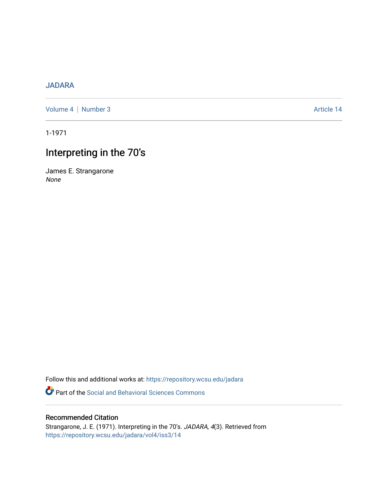### [JADARA](https://repository.wcsu.edu/jadara)

[Volume 4](https://repository.wcsu.edu/jadara/vol4) | [Number 3](https://repository.wcsu.edu/jadara/vol4/iss3) Article 14

1-1971

# Interpreting in the 70's

James E. Strangarone None

Follow this and additional works at: [https://repository.wcsu.edu/jadara](https://repository.wcsu.edu/jadara?utm_source=repository.wcsu.edu%2Fjadara%2Fvol4%2Fiss3%2F14&utm_medium=PDF&utm_campaign=PDFCoverPages)

Part of the [Social and Behavioral Sciences Commons](http://network.bepress.com/hgg/discipline/316?utm_source=repository.wcsu.edu%2Fjadara%2Fvol4%2Fiss3%2F14&utm_medium=PDF&utm_campaign=PDFCoverPages) 

### Recommended Citation

Strangarone, J. E. (1971). Interpreting in the 70's. JADARA, 4(3). Retrieved from [https://repository.wcsu.edu/jadara/vol4/iss3/14](https://repository.wcsu.edu/jadara/vol4/iss3/14?utm_source=repository.wcsu.edu%2Fjadara%2Fvol4%2Fiss3%2F14&utm_medium=PDF&utm_campaign=PDFCoverPages)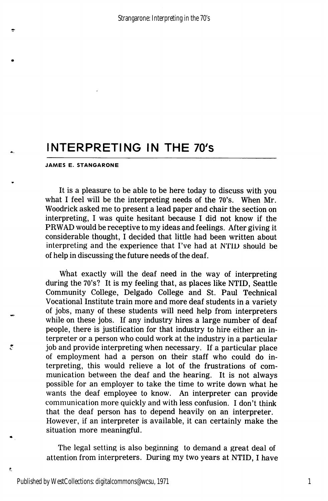## INTERPRETING IN THE 70's

#### JAMES E. STANGARONE

It is a pleasure to be able to be here today to discuss with you what I feel will be the interpreting needs of the 70's. When Mr. Woodrick asked me to present a lead paper and chair the section on interpreting, I was quite hesitant because I did not know if the PRWAD would be receptive to my ideas and feelings. After giving it considerable thought, I decided that little had been written about interpreting and the experience that I've had at NTID should be of help in discussing the future needs of the deaf.

What exactly will the deaf need in the way of interpreting during the 70's? It is my feeling that, as places like NTID, Seattle Community College, Delgado College and St. Paul Technical Vocational Institute train more and more deaf students in a variety of jobs, many of these students will need help from interpreters while on these jobs. If any industry hires a large number of deaf people, there is justification for that industry to hire either an in terpreter or a person who could work at the industry in a particular job and provide interpreting when necessary. If a particular place of employment had a person on their staff who could do in terpreting, this would relieve a lot of the frustrations of com munication between the deaf and the hearing. It is not always possible for an employer to take the time to write down what he wants the deaf employee to know. An interpreter can provide communication more quickly and with less confusion. I don't think that the deaf person has to depend heavily on an interpreter. However, if an interpreter is available, it can certainly make the situation more meaningful.

The legal setting is also beginning to demand a great deal of attention from interpreters. During my two years at NTID, I have

ė,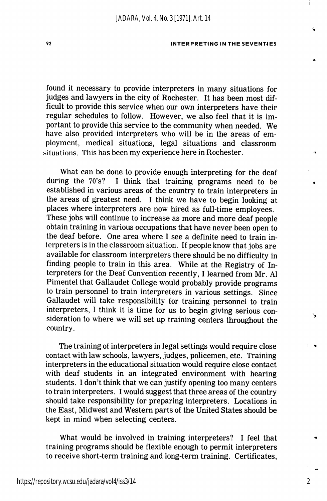#### 92 INTERPRETING IN THE SEVENTIES

found it necessary to provide interpreters in many situations for judges and lawyers in the city of Rochester. It has been most dif ficult to provide this service when our own interpreters have their regular schedules to follow. However, we also feel that it is im portant to provide this service to the community when needed. We have also provided interpreters who will be in the areas of em ployment, medical situations, legal situations and classroom .situations. This has been my experience here in Rochester.

What can be done to provide enough interpreting for the deaf during the 70's? I think that training programs need to be established in various areas of the country to train interpreters in the areas of greatest need. I think we have to begin looking at places where interpreters are now hired as full-time employees. These jobs will continue to increase as more and more deaf people obtain training in various occupations that have never been open to the deaf before. One area where I see a definite need to train in terpreters is in the classroom situation. If people know that jobs are available for classroom interpreters there should he no difficulty in finding people to train in this area. While at the Registry of In terpreters for the Deaf Convention recently, I learned from Mr. A1 Pimentel that Gallaudet College would probably provide programs to train personnel to train interpreters in various settings. Since Gallaudet will take responsibility for training personnel to train interpreters, I think it is time for us to begin giving serious con sideration to where we will set up training centers throughout the country.

The training of interpreters in legal settings would require close contact with law schools, lawyers, judges, policemen, etc. Training interpreters in the educational situation would require close contact with deaf students in an integrated environment with hearing students. I don't think that we can justify opening too many centers to train interpreters. I would suggest that three areas of the country should take responsibility for preparing interpreters. Locations in the East, Midwest and Western parts of the United States should be kept in mind when selecting centers.

What would be involved in training interpreters? I feel that training programs should be flexible enough to permit interpreters to receive short-term training and long-term training. Certificates,

2

↘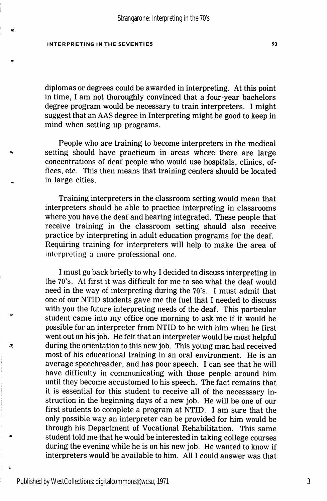#### INTERPRETING IN THE SEVENTIES 6 23

diplomas or degrees could be awarded in interpreting. At this point in time, I am not thoroughly convinced that a four-year bachelors degree program would be necessary to train interpreters. I might suggest that an AAS degree in Interpreting might be good to keep in mind when setting up programs.

People who are training to become interpreters in the medical setting should have practicum in areas where there are large concentrations of deaf people who would use hospitals, clinics, of fices, etc. This then means that training centers should be located in large cities.

Training interpreters in the classroom setting would mean that interpreters should be able to practice interpreting in classrooms where you have the deaf and hearing integrated. These people that receive training in the classroom setting should also receive practice by interpreting in adult education programs for the deaf. Requiring training for interpreters will help to make the area of interpreting a more professional one.

I must go back briefly to why I decided to discuss interpreting in the 70's. At first it was difficult for me to see what the deaf would need in the way of interpreting during the 70's. I must admit that one of our NTID students gave me the fuel that I needed to discuss with you the future interpreting needs of the deaf. This particular student came into my office one morning to ask me if it would be possible for an interpreter from NTID to be with him when he first went out on his job. He felt that an interpreter would be most helpful during the orientation to this new job. This young man had received most of his educational training in an oral environment. He is an average speechreader, and has poor speech. I can see that he will have difficulty in communicating with those people around him until they become accustomed to his speech. The fact remains that it is essential for this student to receive all of the necesssary in struction in the beginning days of a new job. He will be one of our first students to complete a program at NTID. I am sure that the only possible way an interpreter can be provided for him would be through his Department of Vocational Rehabilitation. This same student told me that he would be interested in taking college courses during the evening while he is on his new job. He wanted to know if interpreters would be available to him. All I could answer was that

ż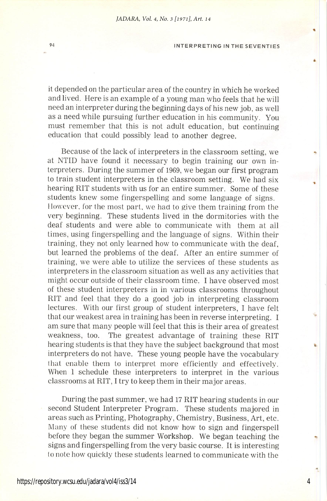#### 84 INTERPRETING IN THE SEVENTIES

it depended on the particular area of the country in which he worked and lived. Here is an example of a young man who feels that he will need an interpreter during the beginning days of his new job, as well as a need while pursuing further education in his community. You must remember that this is not adult education, but continuing education that could possibly lead to another degree.

Because of the lack of interpreters in the classroom setting, we at NTID have found it necessary to begin training our own in terpreters. During the summer of 1969, we began our first program to train student interpreters in the classroom setting. We had six hearing RIT students with us for an entire summer. Some of these students knew some fingerspelling and some language of signs. However, for the most part, we had to give them training from the very beginning. These students lived in the dormitories with the deaf students and were able to communicate with them at all times, using fingerspelling and the language of signs. Within their training, they not only learned how to communicate with the deaf, but learned the problems of the deaf. After an entire summer of training, we were able to utilize the services of these students as interpreters in the classroom situation as well as any activities that might occur outside of their classroom time. I have observed most of these student interpreters in in various classrooms throughout RIT and feel that they do a good job in interpreting classroom lectures. With our first group of student interpreters, I have felt that our weakest area in training has been in reverse interpreting. I am sure that many people will feel that this is their area of greatest weakness, too. The greatest advantage of training these RIT hearing students is that they have the subject background that most interpreters do not have. These young people have the vocabulary that enable them to interpret more efficiently and effectively. When 1 schedule these interpreters to interpret in the various classrooms at RIT, I try to keep them in their major areas.

During the past summer, we had 17 RIT hearing students in our second Student Interpreter Program. These students majored in areas such as Printing, Photography, Chemistry, Business, Art, etc. Many of these students did not know how to sign and fingerspell before they began the summer Workshop. We began teaching the signs and fingerspelling from the very basic course. It is interesting to note how quickly these students learned to communicate with the

4